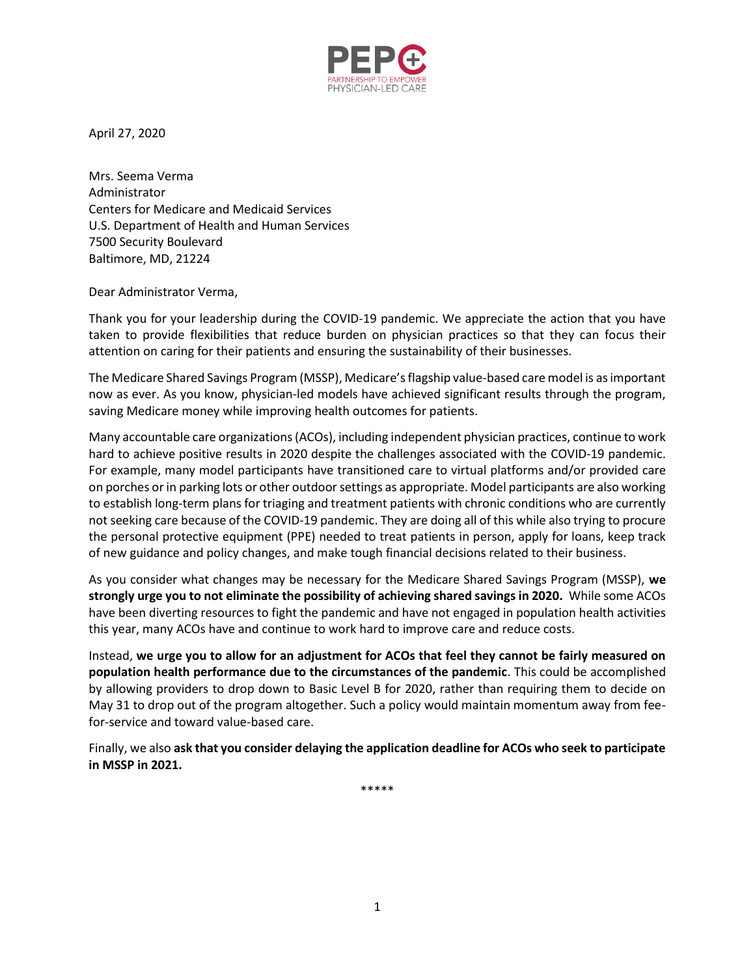

April 27, 2020

Mrs. Seema Verma Administrator Centers for Medicare and Medicaid Services U.S. Department of Health and Human Services 7500 Security Boulevard Baltimore, MD, 21224

Dear Administrator Verma,

Thank you for your leadership during the COVID-19 pandemic. We appreciate the action that you have taken to provide flexibilities that reduce burden on physician practices so that they can focus their attention on caring for their patients and ensuring the sustainability of their businesses.

The Medicare Shared Savings Program (MSSP), Medicare's flagship value-based care model is as important now as ever. As you know, physician-led models have achieved significant results through the program, saving Medicare money while improving health outcomes for patients.

Many accountable care organizations (ACOs), including independent physician practices, continue to work hard to achieve positive results in 2020 despite the challenges associated with the COVID-19 pandemic. For example, many model participants have transitioned care to virtual platforms and/or provided care on porches orin parking lots or other outdoor settings as appropriate. Model participants are also working to establish long-term plans for triaging and treatment patients with chronic conditions who are currently not seeking care because of the COVID-19 pandemic. They are doing all of this while also trying to procure the personal protective equipment (PPE) needed to treat patients in person, apply for loans, keep track of new guidance and policy changes, and make tough financial decisions related to their business.

As you consider what changes may be necessary for the Medicare Shared Savings Program (MSSP), **we strongly urge you to not eliminate the possibility of achieving shared savings in 2020.** While some ACOs have been diverting resources to fight the pandemic and have not engaged in population health activities this year, many ACOs have and continue to work hard to improve care and reduce costs.

Instead, **we urge you to allow for an adjustment for ACOs that feel they cannot be fairly measured on population health performance due to the circumstances of the pandemic**. This could be accomplished by allowing providers to drop down to Basic Level B for 2020, rather than requiring them to decide on May 31 to drop out of the program altogether. Such a policy would maintain momentum away from feefor-service and toward value-based care.

Finally, we also **ask that you consider delaying the application deadline for ACOs who seek to participate in MSSP in 2021.**

\*\*\*\*\*